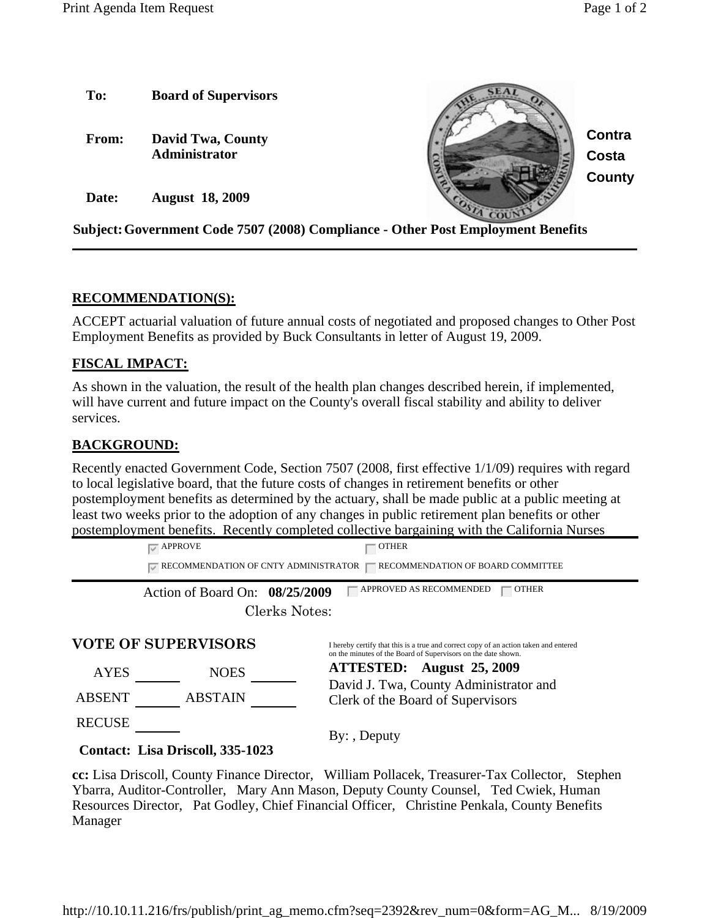

## **RECOMMENDATION(S):**

ACCEPT actuarial valuation of future annual costs of negotiated and proposed changes to Other Post Employment Benefits as provided by Buck Consultants in letter of August 19, 2009.

## **FISCAL IMPACT:**

As shown in the valuation, the result of the health plan changes described herein, if implemented, will have current and future impact on the County's overall fiscal stability and ability to deliver services.

## **BACKGROUND:**

Recently enacted Government Code, Section 7507 (2008, first effective 1/1/09) requires with regard to local legislative board, that the future costs of changes in retirement benefits or other postemployment benefits as determined by the actuary, shall be made public at a public meeting at least two weeks prior to the adoption of any changes in public retirement plan benefits or other postemployment benefits. Recently completed collective bargaining with the California Nurses

> $\sqrt{\ }$  APPROVE general extension of  $\sqrt{\ }$  other  $\sqrt{\phantom{a}}$  RECOMMENDATION OF CNTY ADMINISTRATOR  $\sqrt{\phantom{a}}$  RECOMMENDATION OF BOARD COMMITTEE

Action of Board On:  $08/25/2009$   $\Box$  APPROVED AS RECOMMENDED  $\Box$  OTHER Clerks Notes:

| <b>VOTE OF SUPERVISORS</b> |                | I hereby certify that this is a true and correct copy of an action taken and entered<br>on the minutes of the Board of Supervisors on the date shown. |
|----------------------------|----------------|-------------------------------------------------------------------------------------------------------------------------------------------------------|
| <b>AYES</b>                | <b>NOES</b>    | ATTESTED: August 25, 2009<br>David J. Twa, County Administrator and<br>Clerk of the Board of Supervisors                                              |
| <b>ABSENT</b>              | <b>ABSTAIN</b> |                                                                                                                                                       |
| <b>RECUSE</b>              |                | $By:$ , Deputy                                                                                                                                        |

## **Contact: Lisa Driscoll, 335-1023**

**cc:** Lisa Driscoll, County Finance Director, William Pollacek, Treasurer-Tax Collector, Stephen Ybarra, Auditor-Controller, Mary Ann Mason, Deputy County Counsel, Ted Cwiek, Human Resources Director, Pat Godley, Chief Financial Officer, Christine Penkala, County Benefits Manager